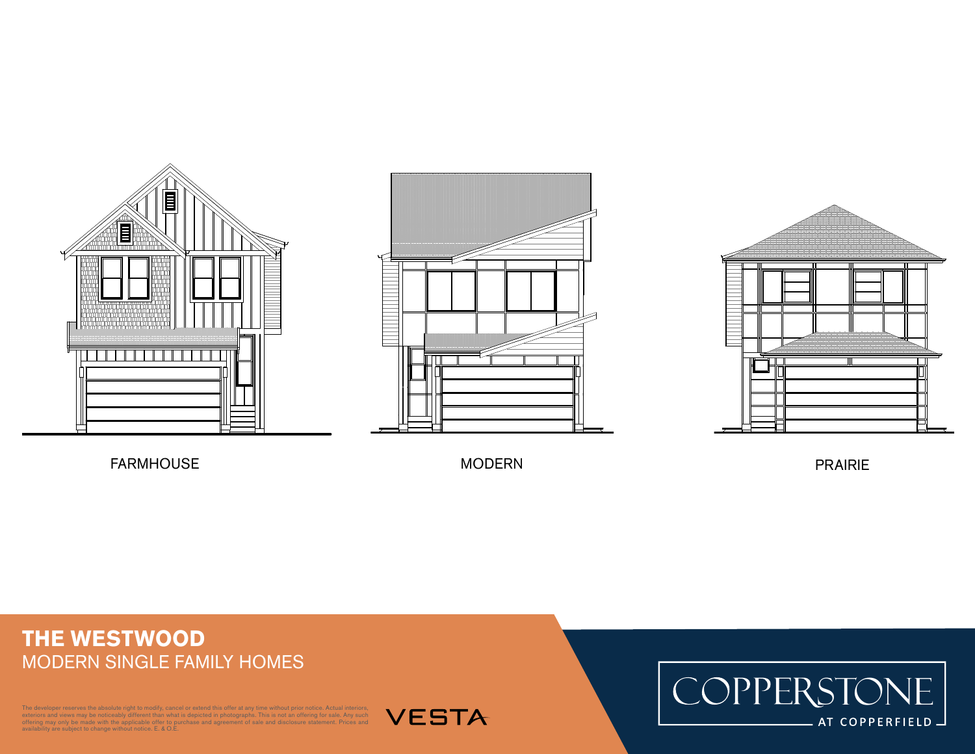



FARMHOUSE MODERN

PRAIRIE

## **THE WESTWOOD** MODERN SINGLE FAMILY HOMES

The developer reserves the absolute right to modify, cancel or extend this offer at any time without prior notice. Actual interiors, exteriors and views may be noticeably different than what is depicted in photographs. This is not an offering for sale. Any such<br>offering may only be made with the applicable offer to purchase and agreement of sale and dis



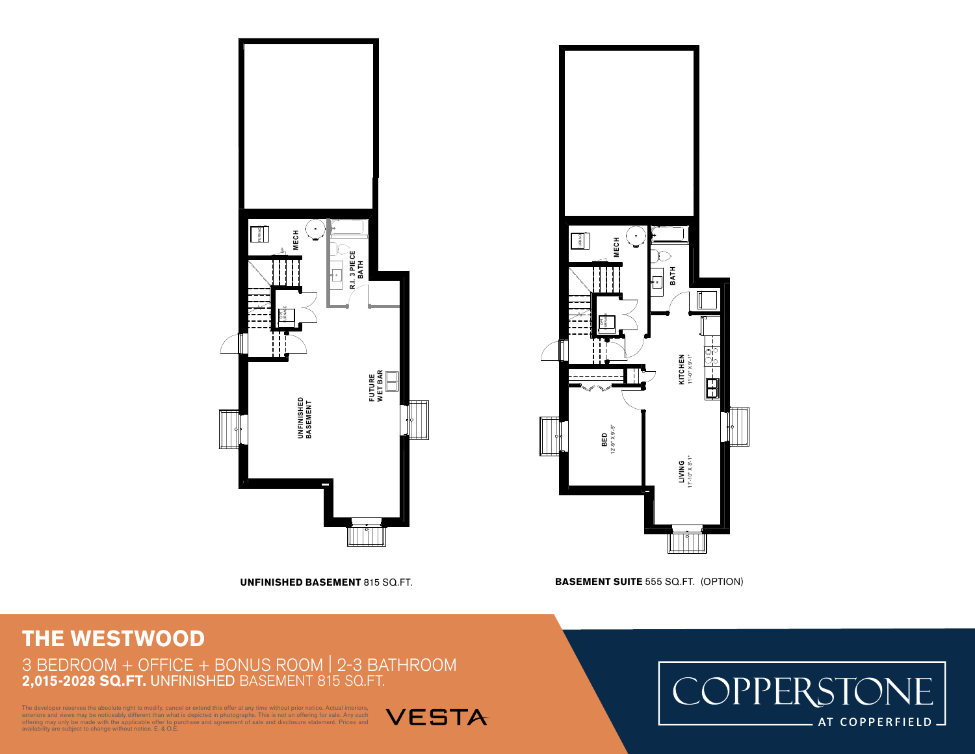



**UNFINISHED BASEMENT** 815 SQ.FT. **BASEMENT SUITE** 555 SQ.FT. (OPTION)

3-01 3/16" = 1'-0"

## **THE WESTWOOD**

3 BEDROOM + OFFICE + BONUS ROOM | 2-3 BATHROOM **2,015-2028 SQ.FT.** UNFINISHED BASEMENT 815 SQ.FT.

oper reserves the absolute right to modify, cancel or extend this offer at any time without prior notice. Actual interiors, exteriors and views may be noticeably different than what is depicted in photographs. This is not an offering for sale. Any such<br>offering may only be made with the applicable offer to purchase and agreement of sale and dis





3-01 3/16" = 1'-0"